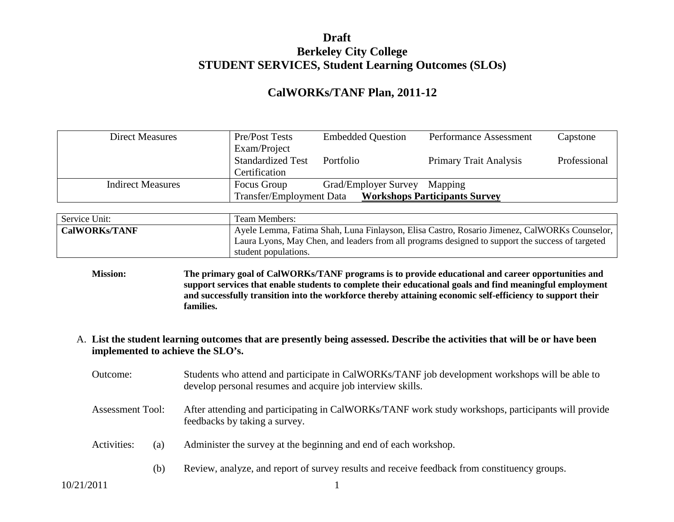#### **Draft Berkeley City College STUDENT SERVICES, Student Learning Outcomes (SLOs)**

#### **CalWORKs/TANF Plan, 2011-12**

| <b>Direct Measures</b>   | Pre/Post Tests                  | <b>Embedded Question</b> | Performance Assessment               | Capstone     |
|--------------------------|---------------------------------|--------------------------|--------------------------------------|--------------|
|                          | Exam/Project                    |                          |                                      |              |
|                          | <b>Standardized Test</b>        | Portfolio                | <b>Primary Trait Analysis</b>        | Professional |
|                          | Certification                   |                          |                                      |              |
| <b>Indirect Measures</b> | Focus Group                     | Grad/Employer Survey     | Mapping                              |              |
|                          | <b>Transfer/Employment Data</b> |                          | <b>Workshops Participants Survey</b> |              |

| Service Unit:        | Team Members:                                                                                    |
|----------------------|--------------------------------------------------------------------------------------------------|
| <b>CalWORKs/TANF</b> | Ayele Lemma, Fatima Shah, Luna Finlayson, Elisa Castro, Rosario Jimenez, CalWORKs Counselor,     |
|                      | Laura Lyons, May Chen, and leaders from all programs designed to support the success of targeted |
|                      | student populations.                                                                             |

- **Mission: The primary goal of CalWORKs/TANF programs is to provide educational and career opportunities and support services that enable students to complete their educational goals and find meaningful employment and successfully transition into the workforce thereby attaining economic self-efficiency to support their families.**
- A. **List the student learning outcomes that are presently being assessed. Describe the activities that will be or have been implemented to achieve the SLO's.** 
	- Outcome: Students who attend and participate in CalWORKs/TANF job development workshops will be able to develop personal resumes and acquire job interview skills.
	- Assessment Tool: After attending and participating in CalWORKs/TANF work study workshops, participants will provide feedbacks by taking a survey.
	- Activities: (a) Administer the survey at the beginning and end of each workshop.
		- (b) Review, analyze, and report of survey results and receive feedback from constituency groups.

10/21/2011 1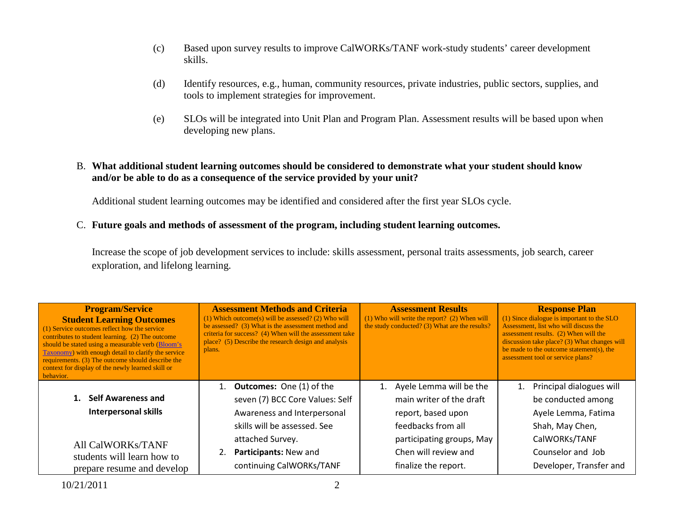- (c) Based upon survey results to improve CalWORKs/TANF work-study students' career development skills.
- (d) Identify resources, e.g., human, community resources, private industries, public sectors, supplies, and tools to implement strategies for improvement.
- (e) SLOs will be integrated into Unit Plan and Program Plan. Assessment results will be based upon when developing new plans.

#### B. **What additional student learning outcomes should be considered to demonstrate what your student should know and/or be able to do as a consequence of the service provided by your unit?**

Additional student learning outcomes may be identified and considered after the first year SLOs cycle.

C. **Future goals and methods of assessment of the program, including student learning outcomes.**

Increase the scope of job development services to include: skills assessment, personal traits assessments, job search, career exploration, and lifelong learning.

| <b>Program/Service</b><br><b>Student Learning Outcomes</b><br>(1) Service outcomes reflect how the service<br>contributes to student learning. (2) The outcome<br>should be stated using a measurable verb (Bloom's<br>Taxonomy) with enough detail to clarify the service<br>requirements. (3) The outcome should describe the<br>context for display of the newly learned skill or<br>behavior. | <b>Assessment Methods and Criteria</b><br>$(1)$ Which outcome(s) will be assessed? (2) Who will<br>be assessed? (3) What is the assessment method and<br>criteria for success? (4) When will the assessment take<br>place? (5) Describe the research design and analysis<br>plans. | <b>Assessment Results</b><br>$(1)$ Who will write the report? $(2)$ When will<br>the study conducted? (3) What are the results? | <b>Response Plan</b><br>(1) Since dialogue is important to the SLO<br>Assessment, list who will discuss the<br>assessment results. (2) When will the<br>discussion take place? (3) What changes will<br>be made to the outcome statement(s), the<br>assessment tool or service plans? |
|---------------------------------------------------------------------------------------------------------------------------------------------------------------------------------------------------------------------------------------------------------------------------------------------------------------------------------------------------------------------------------------------------|------------------------------------------------------------------------------------------------------------------------------------------------------------------------------------------------------------------------------------------------------------------------------------|---------------------------------------------------------------------------------------------------------------------------------|---------------------------------------------------------------------------------------------------------------------------------------------------------------------------------------------------------------------------------------------------------------------------------------|
|                                                                                                                                                                                                                                                                                                                                                                                                   | 1. Outcomes: One (1) of the                                                                                                                                                                                                                                                        | Ayele Lemma will be the                                                                                                         | Principal dialogues will<br>1.                                                                                                                                                                                                                                                        |
| 1. Self Awareness and                                                                                                                                                                                                                                                                                                                                                                             | seven (7) BCC Core Values: Self                                                                                                                                                                                                                                                    | main writer of the draft                                                                                                        | be conducted among                                                                                                                                                                                                                                                                    |
| <b>Interpersonal skills</b>                                                                                                                                                                                                                                                                                                                                                                       | Awareness and Interpersonal                                                                                                                                                                                                                                                        | report, based upon                                                                                                              | Ayele Lemma, Fatima                                                                                                                                                                                                                                                                   |
|                                                                                                                                                                                                                                                                                                                                                                                                   | skills will be assessed. See                                                                                                                                                                                                                                                       | feedbacks from all                                                                                                              | Shah, May Chen,                                                                                                                                                                                                                                                                       |
| <b>All CalWORKs/TANF</b>                                                                                                                                                                                                                                                                                                                                                                          | attached Survey.                                                                                                                                                                                                                                                                   | participating groups, May                                                                                                       | CalWORKs/TANF                                                                                                                                                                                                                                                                         |
| students will learn how to                                                                                                                                                                                                                                                                                                                                                                        | Participants: New and<br>2.                                                                                                                                                                                                                                                        | Chen will review and                                                                                                            | Counselor and Job                                                                                                                                                                                                                                                                     |
| prepare resume and develop                                                                                                                                                                                                                                                                                                                                                                        | continuing CalWORKs/TANF                                                                                                                                                                                                                                                           | finalize the report.                                                                                                            | Developer, Transfer and                                                                                                                                                                                                                                                               |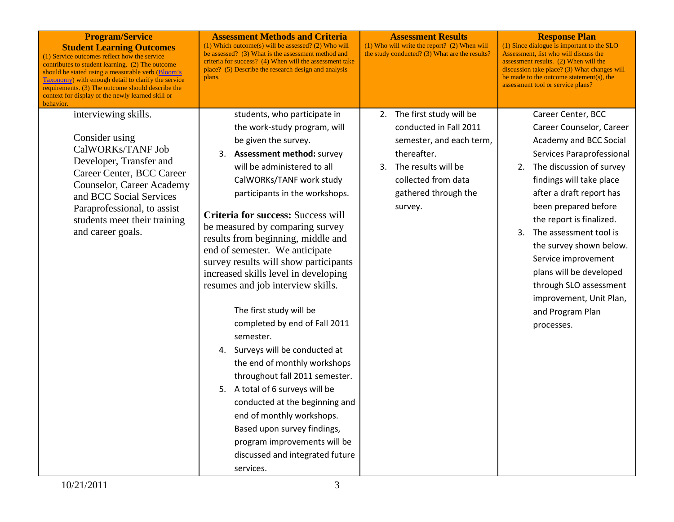| <b>Program/Service</b><br><b>Student Learning Outcomes</b><br>(1) Service outcomes reflect how the service<br>contributes to student learning. (2) The outcome<br>should be stated using a measurable verb (Bloom's<br><b>Taxonomy</b> ) with enough detail to clarify the service<br>requirements. (3) The outcome should describe the<br>context for display of the newly learned skill or<br>behavior. | <b>Assessment Methods and Criteria</b><br>$(1)$ Which outcome(s) will be assessed? (2) Who will<br>be assessed? (3) What is the assessment method and<br>criteria for success? (4) When will the assessment take<br>place? (5) Describe the research design and analysis<br>plans.                                                                                                                                                                                                                                                                                                                                                                                                                                                                                                                                                                                                      | <b>Assessment Results</b><br>(1) Who will write the report? (2) When will<br>the study conducted? (3) What are the results?                                                         | <b>Response Plan</b><br>(1) Since dialogue is important to the SLO<br>Assessment, list who will discuss the<br>assessment results. (2) When will the<br>discussion take place? (3) What changes will<br>be made to the outcome statement(s), the<br>assessment tool or service plans?                                                                                                                                                             |
|-----------------------------------------------------------------------------------------------------------------------------------------------------------------------------------------------------------------------------------------------------------------------------------------------------------------------------------------------------------------------------------------------------------|-----------------------------------------------------------------------------------------------------------------------------------------------------------------------------------------------------------------------------------------------------------------------------------------------------------------------------------------------------------------------------------------------------------------------------------------------------------------------------------------------------------------------------------------------------------------------------------------------------------------------------------------------------------------------------------------------------------------------------------------------------------------------------------------------------------------------------------------------------------------------------------------|-------------------------------------------------------------------------------------------------------------------------------------------------------------------------------------|---------------------------------------------------------------------------------------------------------------------------------------------------------------------------------------------------------------------------------------------------------------------------------------------------------------------------------------------------------------------------------------------------------------------------------------------------|
| interviewing skills.<br>Consider using<br>CalWORKs/TANF Job<br>Developer, Transfer and<br>Career Center, BCC Career<br>Counselor, Career Academy<br>and BCC Social Services<br>Paraprofessional, to assist<br>students meet their training<br>and career goals.                                                                                                                                           | students, who participate in<br>the work-study program, will<br>be given the survey.<br>3. Assessment method: survey<br>will be administered to all<br>CalWORKs/TANF work study<br>participants in the workshops.<br>Criteria for success: Success will<br>be measured by comparing survey<br>results from beginning, middle and<br>end of semester. We anticipate<br>survey results will show participants<br>increased skills level in developing<br>resumes and job interview skills.<br>The first study will be<br>completed by end of Fall 2011<br>semester.<br>4. Surveys will be conducted at<br>the end of monthly workshops<br>throughout fall 2011 semester.<br>5. A total of 6 surveys will be<br>conducted at the beginning and<br>end of monthly workshops.<br>Based upon survey findings,<br>program improvements will be<br>discussed and integrated future<br>services. | 2. The first study will be<br>conducted in Fall 2011<br>semester, and each term,<br>thereafter.<br>3. The results will be<br>collected from data<br>gathered through the<br>survey. | Career Center, BCC<br>Career Counselor, Career<br>Academy and BCC Social<br>Services Paraprofessional<br>2. The discussion of survey<br>findings will take place<br>after a draft report has<br>been prepared before<br>the report is finalized.<br>3. The assessment tool is<br>the survey shown below.<br>Service improvement<br>plans will be developed<br>through SLO assessment<br>improvement, Unit Plan,<br>and Program Plan<br>processes. |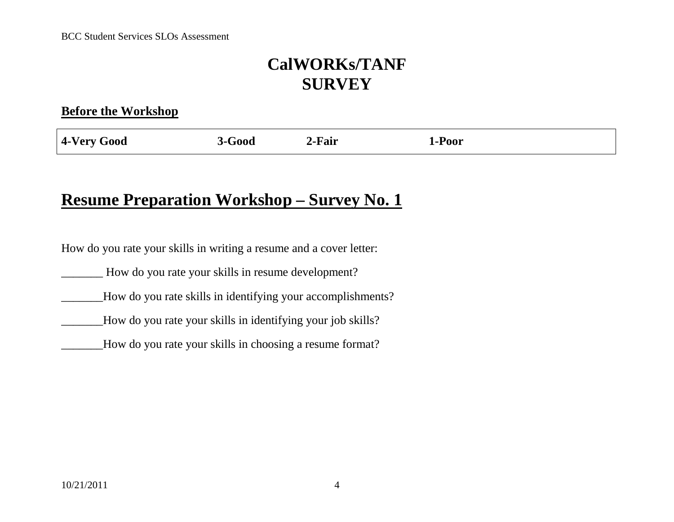#### **Before the Workshop**

| 4-Very<br>2-Fair<br>Good<br>Poor<br>$\mathbf{r}000$<br>∡∹Д |
|------------------------------------------------------------|
|------------------------------------------------------------|

### **Resume Preparation Workshop – Survey No. 1**

How do you rate your skills in writing a resume and a cover letter:

\_\_\_\_\_\_\_ How do you rate your skills in resume development?

\_\_\_\_\_\_\_How do you rate skills in identifying your accomplishments?

\_\_\_\_\_\_\_How do you rate your skills in identifying your job skills?

How do you rate your skills in choosing a resume format?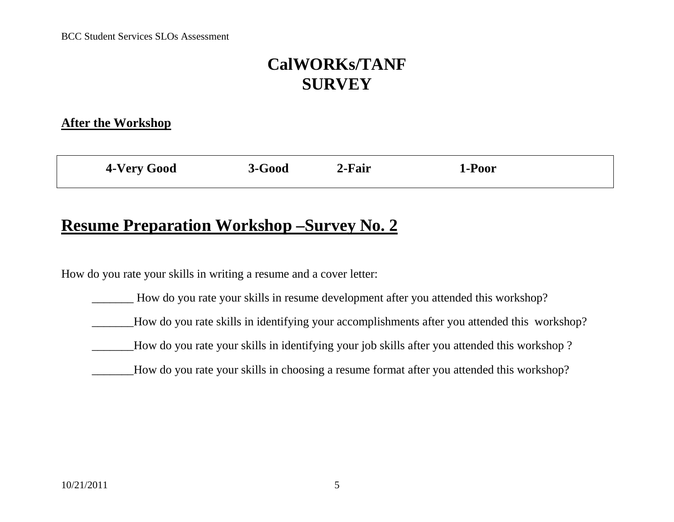#### **After the Workshop**

| <b>4-Very Good</b> | 3-Good | 2-Fair | 1-Poor |  |
|--------------------|--------|--------|--------|--|
|                    |        |        |        |  |

### **Resume Preparation Workshop –Survey No. 2**

How do you rate your skills in writing a resume and a cover letter:

\_\_\_\_\_\_\_ How do you rate your skills in resume development after you attended this workshop?

How do you rate skills in identifying your accomplishments after you attended this workshop?

- How do you rate your skills in identifying your job skills after you attended this workshop ?
- How do you rate your skills in choosing a resume format after you attended this workshop?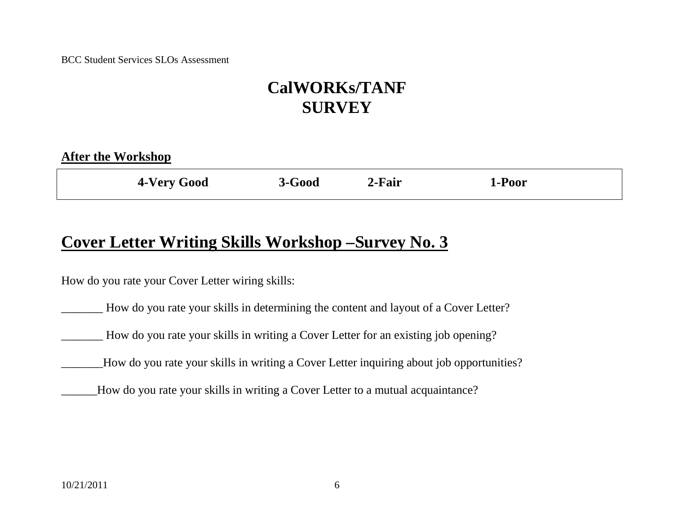| <b>After the Workshop</b> |          |        |        |  |
|---------------------------|----------|--------|--------|--|
| 4-Very Good               | $3-Good$ | 2-Fair | 1-Poor |  |

### **Cover Letter Writing Skills Workshop –Survey No. 3**

How do you rate your Cover Letter wiring skills:

\_\_\_\_\_\_\_ How do you rate your skills in determining the content and layout of a Cover Letter?

How do you rate your skills in writing a Cover Letter for an existing job opening?

How do you rate your skills in writing a Cover Letter inquiring about job opportunities?

\_\_\_\_\_\_How do you rate your skills in writing a Cover Letter to a mutual acquaintance?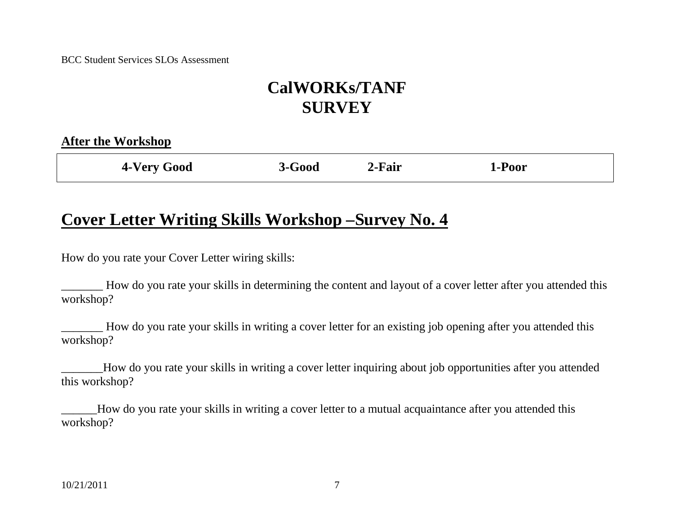|--|

| 4-Very Good | $3-Good$ | 2-Fair | 1-Poor |
|-------------|----------|--------|--------|
|             |          |        |        |

## **Cover Letter Writing Skills Workshop –Survey No. 4**

How do you rate your Cover Letter wiring skills:

\_\_\_\_\_\_\_ How do you rate your skills in determining the content and layout of a cover letter after you attended this workshop?

\_\_\_\_\_\_\_ How do you rate your skills in writing a cover letter for an existing job opening after you attended this workshop?

\_\_\_\_\_\_\_How do you rate your skills in writing a cover letter inquiring about job opportunities after you attended this workshop?

\_\_\_\_\_\_How do you rate your skills in writing a cover letter to a mutual acquaintance after you attended this workshop?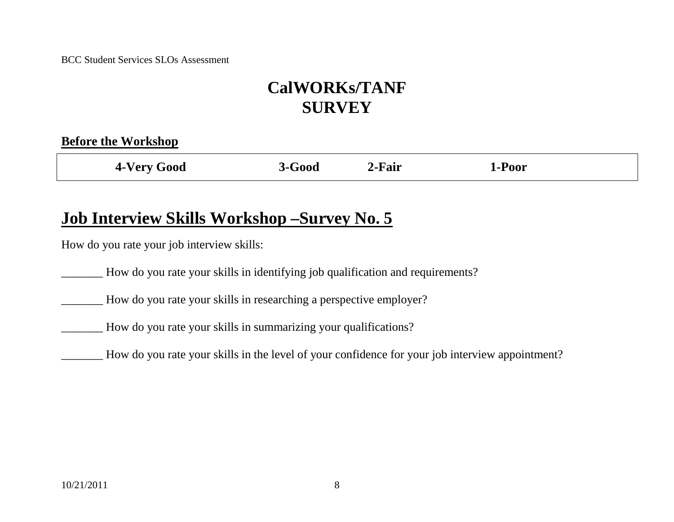| <b>4-Very Good</b> | $3-Good$ | 2-Fair | 1-Poor |  |
|--------------------|----------|--------|--------|--|
|                    |          |        |        |  |

### **Job Interview Skills Workshop –Survey No. 5**

How do you rate your job interview skills:

\_\_\_\_\_\_\_ How do you rate your skills in identifying job qualification and requirements?

\_\_\_\_\_\_\_ How do you rate your skills in researching a perspective employer?

\_\_\_\_\_\_\_ How do you rate your skills in summarizing your qualifications?

\_\_\_\_\_\_\_ How do you rate your skills in the level of your confidence for your job interview appointment?